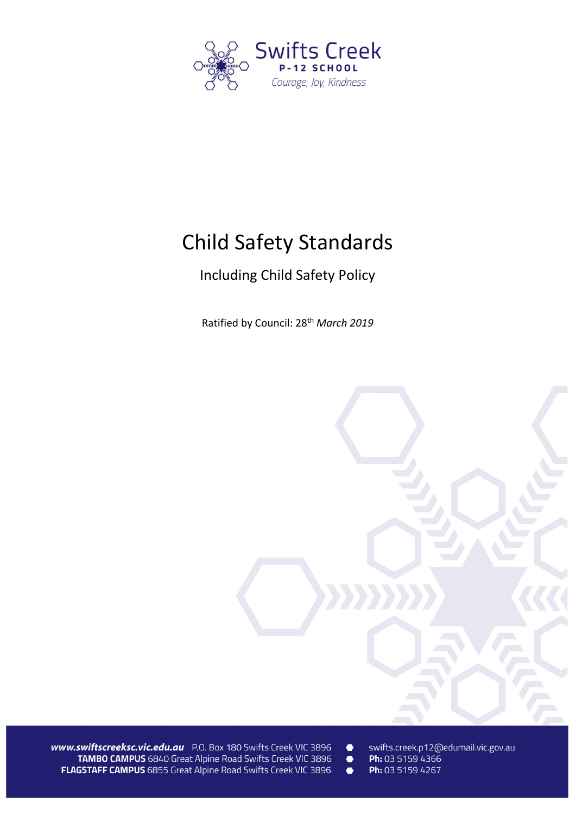

# Child Safety Standards

# Including Child Safety Policy

Ratified by Council: 28th *March 2019*



www.swiftscreeksc.vic.edu.au P.O. Box 180 Swifts Creek VIC 3896 TAMBO CAMPUS 6840 Great Alpine Road Swifts Creek VIC 3896 FLAGSTAFF CAMPUS 6855 Great Alpine Road Swifts Creek VIC 3896

- $\bullet$ swifts.creek.p12@edumail.vic.gov.au
- Ph: 03 5159 4366  $\bullet$  $\bullet$ 
	- Ph: 03 5159 4267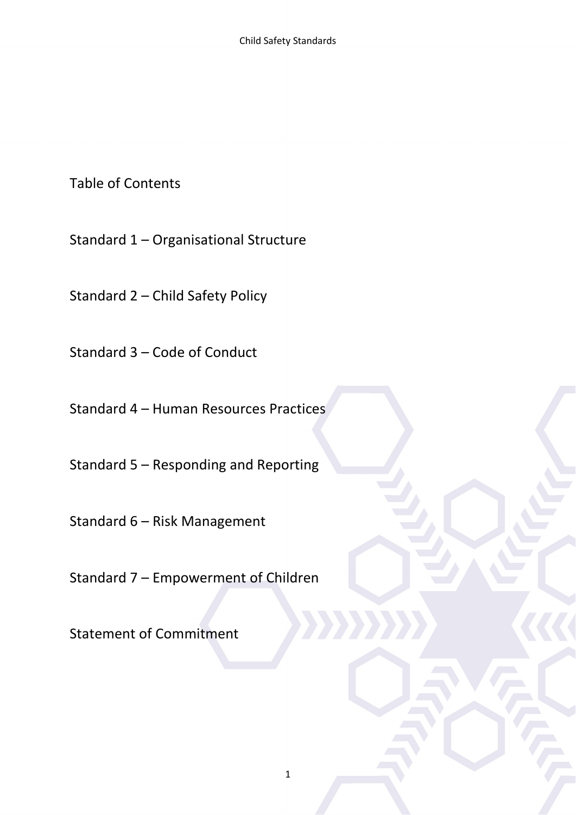Table of Contents

Standard 1 – Organisational Structure

Standard 2 – Child Safety Policy

Standard 3 – Code of Conduct

Standard 4 – Human Resources Practices

Standard 5 – Responding and Reporting

Standard 6 – Risk Management

Standard 7 – Empowerment of Children

Statement of Commitment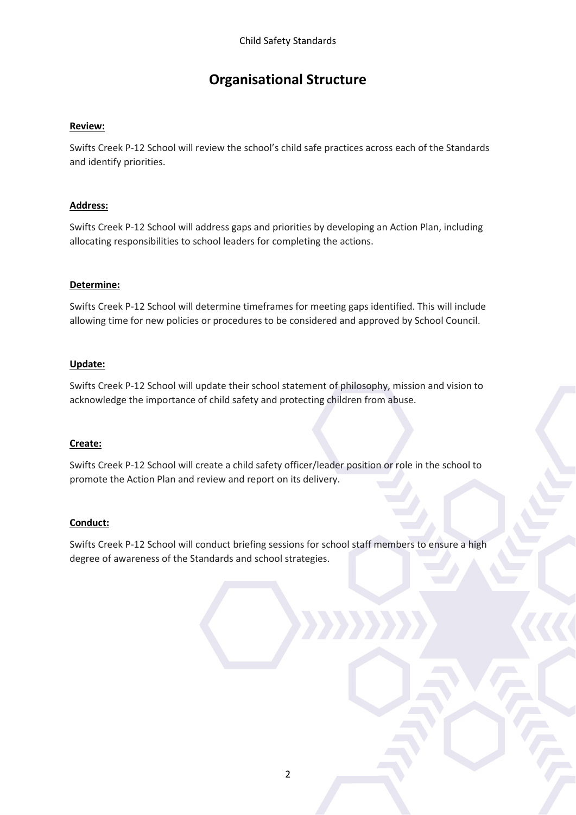# **Organisational Structure**

### **Review:**

Swifts Creek P-12 School will review the school's child safe practices across each of the Standards and identify priorities.

### **Address:**

Swifts Creek P-12 School will address gaps and priorities by developing an Action Plan, including allocating responsibilities to school leaders for completing the actions.

### **Determine:**

Swifts Creek P-12 School will determine timeframes for meeting gaps identified. This will include allowing time for new policies or procedures to be considered and approved by School Council.

### **Update:**

Swifts Creek P-12 School will update their school statement of philosophy, mission and vision to acknowledge the importance of child safety and protecting children from abuse.

#### **Create:**

Swifts Creek P-12 School will create a child safety officer/leader position or role in the school to promote the Action Plan and review and report on its delivery.

#### **Conduct:**

Swifts Creek P-12 School will conduct briefing sessions for school staff members to ensure a high degree of awareness of the Standards and school strategies.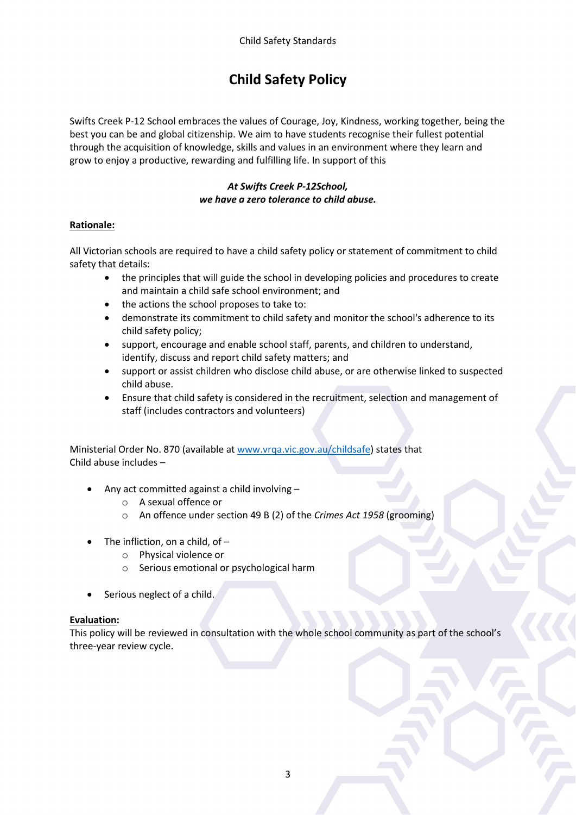# **Child Safety Policy**

Swifts Creek P-12 School embraces the values of Courage, Joy, Kindness, working together, being the best you can be and global citizenship. We aim to have students recognise their fullest potential through the acquisition of knowledge, skills and values in an environment where they learn and grow to enjoy a productive, rewarding and fulfilling life. In support of this

# *At Swifts Creek P-12School, we have a zero tolerance to child abuse.*

# **Rationale:**

All Victorian schools are required to have a child safety policy or statement of commitment to child safety that details:

- the principles that will guide the school in developing policies and procedures to create and maintain a child safe school environment; and
- the actions the school proposes to take to:
- demonstrate its commitment to child safety and monitor the school's adherence to its child safety policy;
- support, encourage and enable school staff, parents, and children to understand, identify, discuss and report child safety matters; and
- support or assist children who disclose child abuse, or are otherwise linked to suspected child abuse.
- Ensure that child safety is considered in the recruitment, selection and management of staff (includes contractors and volunteers)

Ministerial Order No. 870 (available at [www.vrqa.vic.gov.au/childsafe\)](http://www.vrqa.vic.gov.au/childsafe) states that Child abuse includes –

- Any act committed against a child involving
	- o A sexual offence or
	- o An offence under section 49 B (2) of the *Crimes Act 1958* (grooming)
- The infliction, on a child, of  $$ 
	- o Physical violence or
	- o Serious emotional or psychological harm
- Serious neglect of a child.

# **Evaluation:**

This policy will be reviewed in consultation with the whole school community as part of the school's three-year review cycle.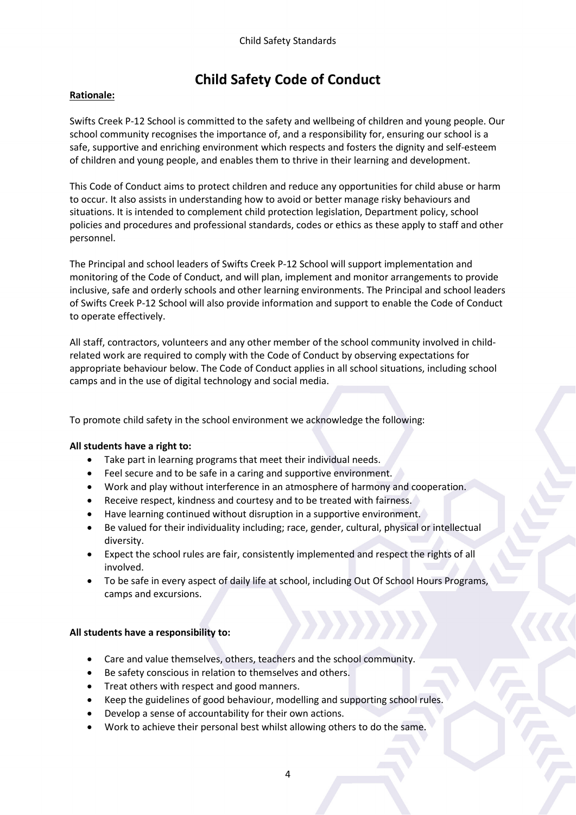# **Child Safety Code of Conduct**

### **Rationale:**

Swifts Creek P-12 School is committed to the safety and wellbeing of children and young people. Our school community recognises the importance of, and a responsibility for, ensuring our school is a safe, supportive and enriching environment which respects and fosters the dignity and self-esteem of children and young people, and enables them to thrive in their learning and development.

This Code of Conduct aims to protect children and reduce any opportunities for child abuse or harm to occur. It also assists in understanding how to avoid or better manage risky behaviours and situations. It is intended to complement child protection legislation, Department policy, school policies and procedures and professional standards, codes or ethics as these apply to staff and other personnel.

The Principal and school leaders of Swifts Creek P-12 School will support implementation and monitoring of the Code of Conduct, and will plan, implement and monitor arrangements to provide inclusive, safe and orderly schools and other learning environments. The Principal and school leaders of Swifts Creek P-12 School will also provide information and support to enable the Code of Conduct to operate effectively.

All staff, contractors, volunteers and any other member of the school community involved in childrelated work are required to comply with the Code of Conduct by observing expectations for appropriate behaviour below. The Code of Conduct applies in all school situations, including school camps and in the use of digital technology and social media.

To promote child safety in the school environment we acknowledge the following:

#### **All students have a right to:**

- Take part in learning programs that meet their individual needs.
- Feel secure and to be safe in a caring and supportive environment.
- Work and play without interference in an atmosphere of harmony and cooperation.
- Receive respect, kindness and courtesy and to be treated with fairness.
- Have learning continued without disruption in a supportive environment.
- Be valued for their individuality including; race, gender, cultural, physical or intellectual diversity.
- Expect the school rules are fair, consistently implemented and respect the rights of all involved.
- To be safe in every aspect of daily life at school, including Out Of School Hours Programs, camps and excursions.

# **All students have a responsibility to:**

- Care and value themselves, others, teachers and the school community.
- Be safety conscious in relation to themselves and others.
- Treat others with respect and good manners.
- Keep the guidelines of good behaviour, modelling and supporting school rules.
- Develop a sense of accountability for their own actions.
- Work to achieve their personal best whilst allowing others to do the same.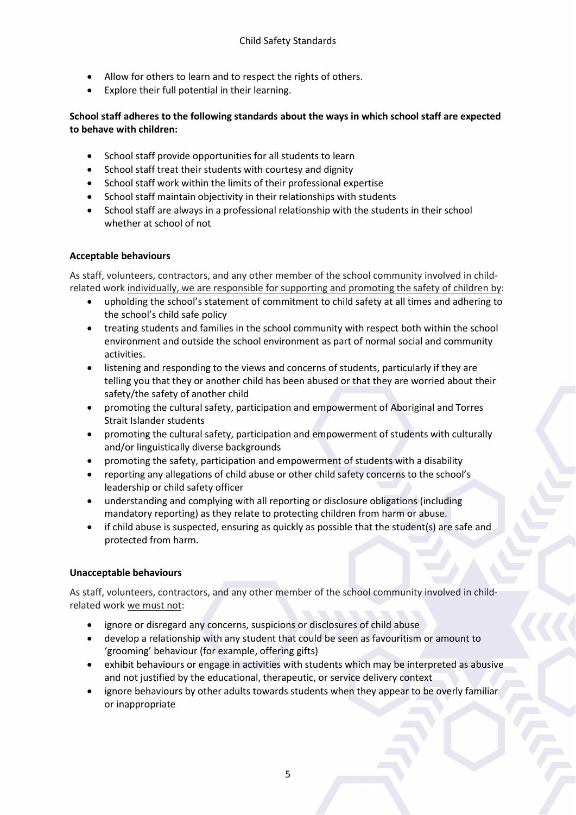- Allow for others to learn and to respect the rights of others.
- Explore their full potential in their learning.

# **School staff adheres to the following standards about the ways in which school staff are expected to behave with children:**

- School staff provide opportunities for all students to learn
- School staff treat their students with courtesy and dignity
- School staff work within the limits of their professional expertise
- School staff maintain objectivity in their relationships with students
- School staff are always in a professional relationship with the students in their school whether at school of not

# **Acceptable behaviours**

As staff, volunteers, contractors, and any other member of the school community involved in childrelated work individually, we are responsible for supporting and promoting the safety of children by:

- upholding the school's statement of commitment to child safety at all times and adhering to the school's child safe policy
- treating students and families in the school community with respect both within the school environment and outside the school environment as part of normal social and community activities.
- listening and responding to the views and concerns of students, particularly if they are telling you that they or another child has been abused or that they are worried about their safety/the safety of another child
- promoting the cultural safety, participation and empowerment of Aboriginal and Torres Strait Islander students
- promoting the cultural safety, participation and empowerment of students with culturally and/or linguistically diverse backgrounds
- promoting the safety, participation and empowerment of students with a disability
- reporting any allegations of child abuse or other child safety concerns to the school's leadership or child safety officer
- understanding and complying with all reporting or disclosure obligations (including mandatory reporting) as they relate to protecting children from harm or abuse.
- if child abuse is suspected, ensuring as quickly as possible that the student(s) are safe and protected from harm.

# **Unacceptable behaviours**

As staff, volunteers, contractors, and any other member of the school community involved in childrelated work we must not:

- ignore or disregard any concerns, suspicions or disclosures of child abuse
- develop a relationship with any student that could be seen as favouritism or amount to 'grooming' behaviour (for example, offering gifts)
- exhibit behaviours or engage in activities with students which may be interpreted as abusive and not justified by the educational, therapeutic, or service delivery context
- ignore behaviours by other adults towards students when they appear to be overly familiar or inappropriate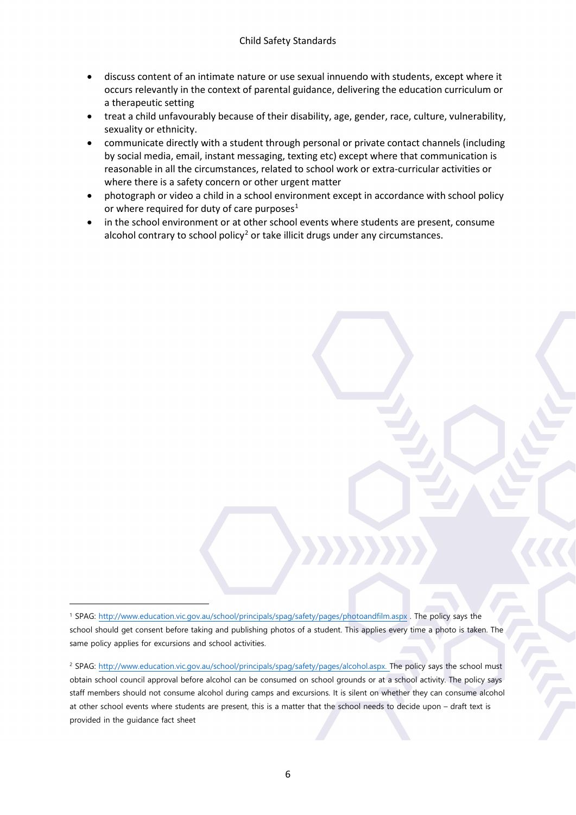- discuss content of an intimate nature or use sexual innuendo with students, except where it occurs relevantly in the context of parental guidance, delivering the education curriculum or a therapeutic setting
- treat a child unfavourably because of their disability, age, gender, race, culture, vulnerability, sexuality or ethnicity.
- communicate directly with a student through personal or private contact channels (including by social media, email, instant messaging, texting etc) except where that communication is reasonable in all the circumstances, related to school work or extra-curricular activities or where there is a safety concern or other urgent matter
- photograph or video a child in a school environment except in accordance with school policy or where required for duty of care purposes<sup>[1](#page-6-0)</sup>
- in the school environment or at other school events where students are present, consume alcohol contrary to school policy<sup>[2](#page-6-1)</sup> or take illicit drugs under any circumstances.

<span id="page-6-0"></span><sup>1</sup> SPAG:<http://www.education.vic.gov.au/school/principals/spag/safety/pages/photoandfilm.aspx> . The policy says the school should get consent before taking and publishing photos of a student. This applies every time a photo is taken. The same policy applies for excursions and school activities.

<u>.</u>

<span id="page-6-1"></span><sup>2</sup> SPAG: [http://www.education.vic.gov.au/school/principals/spag/safety/pages/alcohol.aspx.](http://www.education.vic.gov.au/school/principals/spag/safety/pages/alcohol.aspx) The policy says the school must obtain school council approval before alcohol can be consumed on school grounds or at a school activity. The policy says staff members should not consume alcohol during camps and excursions. It is silent on whether they can consume alcohol at other school events where students are present, this is a matter that the school needs to decide upon – draft text is provided in the guidance fact sheet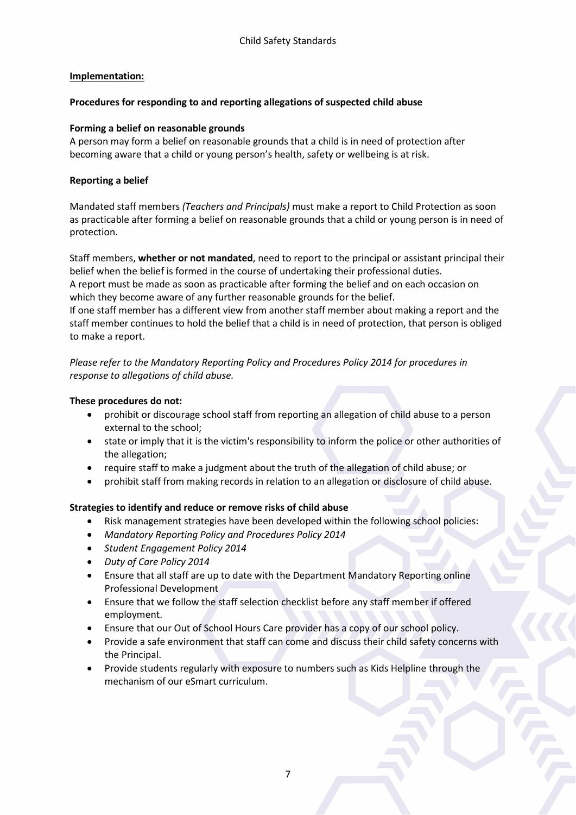### **Implementation:**

### **Procedures for responding to and reporting allegations of suspected child abuse**

### **Forming a belief on reasonable grounds**

A person may form a belief on reasonable grounds that a child is in need of protection after becoming aware that a child or young person's health, safety or wellbeing is at risk.

### **Reporting a belief**

Mandated staff members *(Teachers and Principals)* must make a report to Child Protection as soon as practicable after forming a belief on reasonable grounds that a child or young person is in need of protection.

Staff members, **whether or not mandated**, need to report to the principal or assistant principal their belief when the belief is formed in the course of undertaking their professional duties. A report must be made as soon as practicable after forming the belief and on each occasion on which they become aware of any further reasonable grounds for the belief.

If one staff member has a different view from another staff member about making a report and the staff member continues to hold the belief that a child is in need of protection, that person is obliged to make a report.

*Please refer to the Mandatory Reporting Policy and Procedures Policy 2014 for procedures in response to allegations of child abuse.*

### **These procedures do not:**

- prohibit or discourage school staff from reporting an allegation of child abuse to a person external to the school;
- state or imply that it is the victim's responsibility to inform the police or other authorities of the allegation;
- require staff to make a judgment about the truth of the allegation of child abuse; or
- prohibit staff from making records in relation to an allegation or disclosure of child abuse.

#### **Strategies to identify and reduce or remove risks of child abuse**

- Risk management strategies have been developed within the following school policies:
- *Mandatory Reporting Policy and Procedures Policy 2014*
- *Student Engagement Policy 2014*
- *Duty of Care Policy 2014*
- Ensure that all staff are up to date with the Department Mandatory Reporting online Professional Development
- Ensure that we follow the staff selection checklist before any staff member if offered employment.
- Ensure that our Out of School Hours Care provider has a copy of our school policy.
- Provide a safe environment that staff can come and discuss their child safety concerns with the Principal.
- Provide students regularly with exposure to numbers such as Kids Helpline through the mechanism of our eSmart curriculum.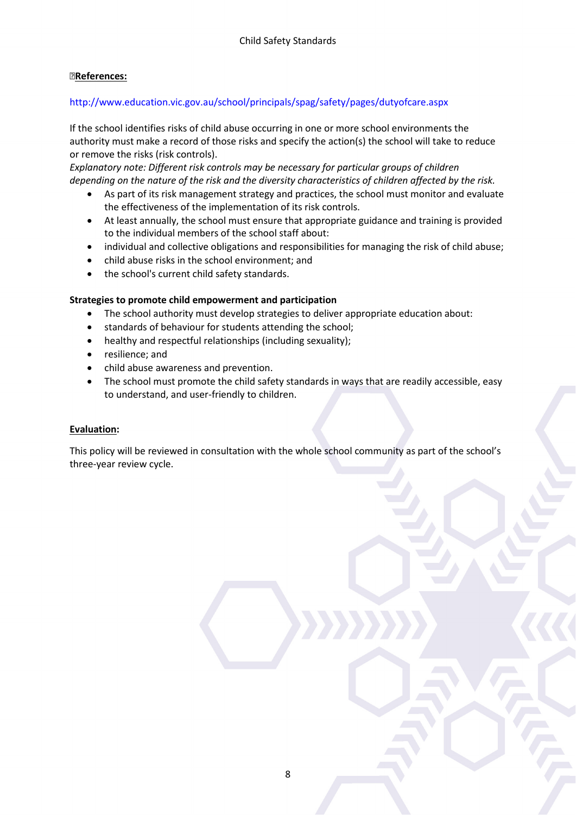### **References:**

### http://www.education.vic.gov.au/school/principals/spag/safety/pages/dutyofcare.aspx

If the school identifies risks of child abuse occurring in one or more school environments the authority must make a record of those risks and specify the action(s) the school will take to reduce or remove the risks (risk controls).

*Explanatory note: Different risk controls may be necessary for particular groups of children depending on the nature of the risk and the diversity characteristics of children affected by the risk.*

- As part of its risk management strategy and practices, the school must monitor and evaluate the effectiveness of the implementation of its risk controls.
- At least annually, the school must ensure that appropriate guidance and training is provided to the individual members of the school staff about:
- individual and collective obligations and responsibilities for managing the risk of child abuse;
- child abuse risks in the school environment; and
- the school's current child safety standards.

### **Strategies to promote child empowerment and participation**

- The school authority must develop strategies to deliver appropriate education about:
- standards of behaviour for students attending the school;
- healthy and respectful relationships (including sexuality);
- resilience; and
- child abuse awareness and prevention.
- The school must promote the child safety standards in ways that are readily accessible, easy to understand, and user-friendly to children.

#### **Evaluation:**

This policy will be reviewed in consultation with the whole school community as part of the school's three-year review cycle.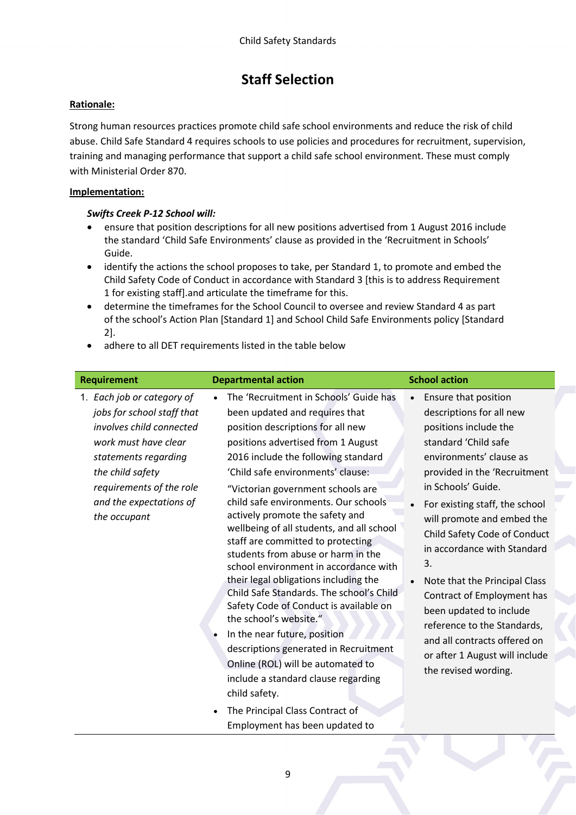# **Staff Selection**

# **Rationale:**

Strong human resources practices promote child safe school environments and reduce the risk of child abuse. Child Safe Standard 4 requires schools to use policies and procedures for recruitment, supervision, training and managing performance that support a child safe school environment. These must comply with Ministerial Order 870.

# **Implementation:**

# *Swifts Creek P-12 School will:*

- ensure that position descriptions for all new positions advertised from 1 August 2016 include the standard 'Child Safe Environments' clause as provided in the 'Recruitment in Schools' Guide.
- identify the actions the school proposes to take, per Standard 1, to promote and embed the Child Safety Code of Conduct in accordance with Standard 3 [this is to address Requirement 1 for existing staff].and articulate the timeframe for this.
- determine the timeframes for the School Council to oversee and review Standard 4 as part of the school's Action Plan [Standard 1] and School Child Safe Environments policy [Standard 2].
- adhere to all DET requirements listed in the table below

| <b>Requirement</b>                                                                                                                                                                                                              | <b>Departmental action</b>                                                                                                                                                                                                                                                                                                                                                                                                                                                                                                                                                                                                                                                                                                                                                                                                                                                                                           | <b>School action</b>                                                                                                                                                                                                                                                                                                                                                                                                                                                                                                                                                 |
|---------------------------------------------------------------------------------------------------------------------------------------------------------------------------------------------------------------------------------|----------------------------------------------------------------------------------------------------------------------------------------------------------------------------------------------------------------------------------------------------------------------------------------------------------------------------------------------------------------------------------------------------------------------------------------------------------------------------------------------------------------------------------------------------------------------------------------------------------------------------------------------------------------------------------------------------------------------------------------------------------------------------------------------------------------------------------------------------------------------------------------------------------------------|----------------------------------------------------------------------------------------------------------------------------------------------------------------------------------------------------------------------------------------------------------------------------------------------------------------------------------------------------------------------------------------------------------------------------------------------------------------------------------------------------------------------------------------------------------------------|
| 1. Each job or category of<br>jobs for school staff that<br>involves child connected<br>work must have clear<br>statements regarding<br>the child safety<br>requirements of the role<br>and the expectations of<br>the occupant | The 'Recruitment in Schools' Guide has<br>been updated and requires that<br>position descriptions for all new<br>positions advertised from 1 August<br>2016 include the following standard<br>'Child safe environments' clause:<br>"Victorian government schools are<br>child safe environments. Our schools<br>actively promote the safety and<br>wellbeing of all students, and all school<br>staff are committed to protecting<br>students from abuse or harm in the<br>school environment in accordance with<br>their legal obligations including the<br>Child Safe Standards. The school's Child<br>Safety Code of Conduct is available on<br>the school's website."<br>In the near future, position<br>descriptions generated in Recruitment<br>Online (ROL) will be automated to<br>include a standard clause regarding<br>child safety.<br>The Principal Class Contract of<br>Employment has been updated to | Ensure that position<br>$\bullet$<br>descriptions for all new<br>positions include the<br>standard 'Child safe<br>environments' clause as<br>provided in the 'Recruitment<br>in Schools' Guide.<br>For existing staff, the school<br>will promote and embed the<br>Child Safety Code of Conduct<br>in accordance with Standard<br>3.<br>Note that the Principal Class<br>$\bullet$<br>Contract of Employment has<br>been updated to include<br>reference to the Standards,<br>and all contracts offered on<br>or after 1 August will include<br>the revised wording. |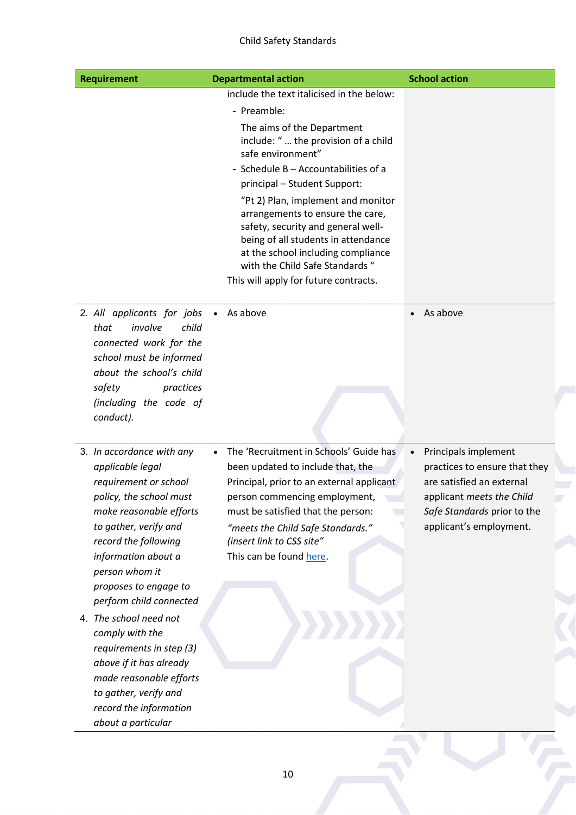# Child Safety Standards

| <b>Requirement</b>                                                                                                                                                                                    | <b>Departmental action</b>                                                                                                                                                                                                                                            | <b>School action</b>              |
|-------------------------------------------------------------------------------------------------------------------------------------------------------------------------------------------------------|-----------------------------------------------------------------------------------------------------------------------------------------------------------------------------------------------------------------------------------------------------------------------|-----------------------------------|
|                                                                                                                                                                                                       | include the text italicised in the below:                                                                                                                                                                                                                             |                                   |
|                                                                                                                                                                                                       | - Preamble:                                                                                                                                                                                                                                                           |                                   |
|                                                                                                                                                                                                       | The aims of the Department<br>include: " the provision of a child<br>safe environment"<br>- Schedule B - Accountabilities of a<br>principal - Student Support:                                                                                                        |                                   |
|                                                                                                                                                                                                       | "Pt 2) Plan, implement and monitor<br>arrangements to ensure the care,<br>safety, security and general well-<br>being of all students in attendance<br>at the school including compliance<br>with the Child Safe Standards "<br>This will apply for future contracts. |                                   |
| 2. All applicants for jobs<br>involve<br>child<br>that<br>connected work for the<br>school must be informed<br>about the school's child<br>safety<br>practices<br>(including the code of<br>conduct). | As above                                                                                                                                                                                                                                                              | As above<br>$\bullet$             |
| 3. In accordance with any                                                                                                                                                                             | The 'Recruitment in Schools' Guide has                                                                                                                                                                                                                                | Principals implement<br>$\bullet$ |
| applicable legal                                                                                                                                                                                      | been updated to include that, the                                                                                                                                                                                                                                     | practices to ensure that they     |
| requirement or school                                                                                                                                                                                 | Principal, prior to an external applicant                                                                                                                                                                                                                             | are satisfied an external         |
| policy, the school must                                                                                                                                                                               | person commencing employment,                                                                                                                                                                                                                                         | applicant meets the Child         |
| make reasonable efforts                                                                                                                                                                               | must be satisfied that the person:                                                                                                                                                                                                                                    | Safe Standards prior to the       |
| to gather, verify and                                                                                                                                                                                 | "meets the Child Safe Standards."                                                                                                                                                                                                                                     | applicant's employment.           |
| record the following                                                                                                                                                                                  | (insert link to CSS site"                                                                                                                                                                                                                                             |                                   |
| information about a<br>person whom it                                                                                                                                                                 | This can be found here.                                                                                                                                                                                                                                               |                                   |
| proposes to engage to<br>perform child connected                                                                                                                                                      |                                                                                                                                                                                                                                                                       |                                   |
| 4. The school need not                                                                                                                                                                                |                                                                                                                                                                                                                                                                       |                                   |
| comply with the                                                                                                                                                                                       |                                                                                                                                                                                                                                                                       |                                   |
| requirements in step (3)<br>above if it has already                                                                                                                                                   |                                                                                                                                                                                                                                                                       |                                   |
| made reasonable efforts                                                                                                                                                                               |                                                                                                                                                                                                                                                                       |                                   |
| to gather, verify and                                                                                                                                                                                 |                                                                                                                                                                                                                                                                       |                                   |
|                                                                                                                                                                                                       |                                                                                                                                                                                                                                                                       |                                   |
| record the information<br>about a particular                                                                                                                                                          |                                                                                                                                                                                                                                                                       |                                   |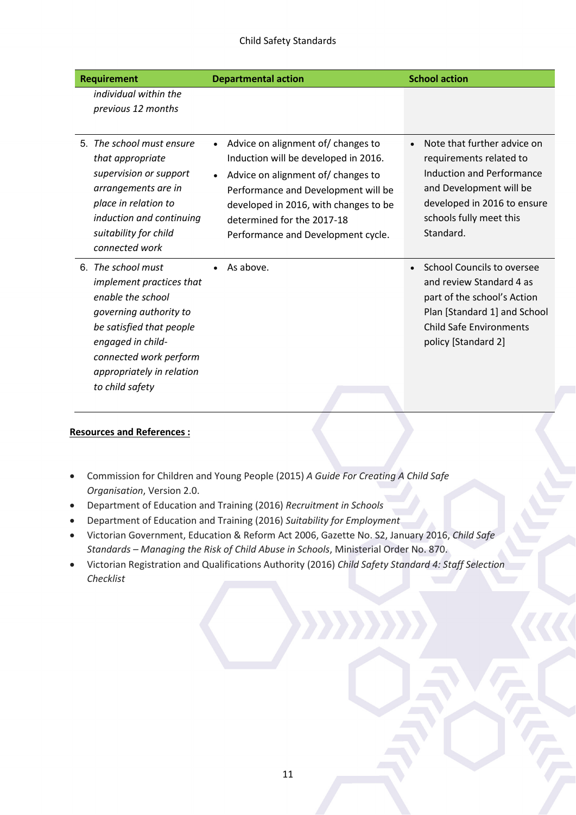| <b>Requirement</b>                                                                                                                                                                                                       | <b>Departmental action</b>                                                                                                                                                                                                                                                        | <b>School action</b>                                                                                                                                                                               |
|--------------------------------------------------------------------------------------------------------------------------------------------------------------------------------------------------------------------------|-----------------------------------------------------------------------------------------------------------------------------------------------------------------------------------------------------------------------------------------------------------------------------------|----------------------------------------------------------------------------------------------------------------------------------------------------------------------------------------------------|
| individual within the<br>previous 12 months                                                                                                                                                                              |                                                                                                                                                                                                                                                                                   |                                                                                                                                                                                                    |
| 5. The school must ensure<br>that appropriate<br>supervision or support<br>arrangements are in<br>place in relation to<br>induction and continuing<br>suitability for child<br>connected work                            | Advice on alignment of/ changes to<br>Induction will be developed in 2016.<br>Advice on alignment of/ changes to<br>$\bullet$<br>Performance and Development will be<br>developed in 2016, with changes to be<br>determined for the 2017-18<br>Performance and Development cycle. | Note that further advice on<br>$\bullet$<br>requirements related to<br>Induction and Performance<br>and Development will be<br>developed in 2016 to ensure<br>schools fully meet this<br>Standard. |
| 6. The school must<br>implement practices that<br>enable the school<br>governing authority to<br>be satisfied that people<br>engaged in child-<br>connected work perform<br>appropriately in relation<br>to child safety | As above.                                                                                                                                                                                                                                                                         | <b>School Councils to oversee</b><br>$\bullet$<br>and review Standard 4 as<br>part of the school's Action<br>Plan [Standard 1] and School<br><b>Child Safe Environments</b><br>policy [Standard 2] |

#### **Resources and References :**

- Commission for Children and Young People (2015) *A Guide For Creating A Child Safe Organisation*, Version 2.0.
- Department of Education and Training (2016) *Recruitment in Schools*
- Department of Education and Training (2016) *Suitability for Employment*
- Victorian Government, Education & Reform Act 2006, Gazette No. S2, January 2016, *Child Safe Standards – Managing the Risk of Child Abuse in Schools*, Ministerial Order No. 870.
- Victorian Registration and Qualifications Authority (2016) *Child Safety Standard 4: Staff Selection Checklist*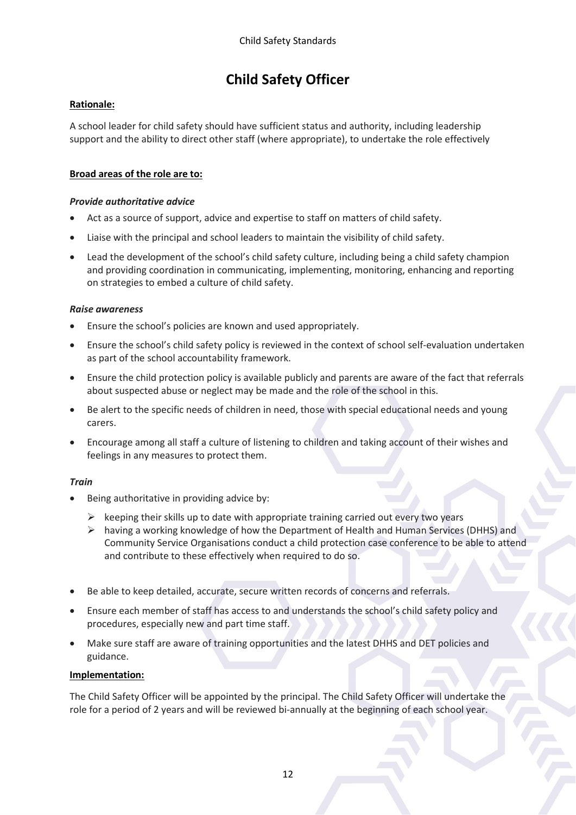# **Child Safety Officer**

# **Rationale:**

A school leader for child safety should have sufficient status and authority, including leadership support and the ability to direct other staff (where appropriate), to undertake the role effectively

# **Broad areas of the role are to:**

# *Provide authoritative advice*

- Act as a source of support, advice and expertise to staff on matters of child safety.
- Liaise with the principal and school leaders to maintain the visibility of child safety.
- Lead the development of the school's child safety culture, including being a child safety champion and providing coordination in communicating, implementing, monitoring, enhancing and reporting on strategies to embed a culture of child safety.

### *Raise awareness*

- Ensure the school's policies are known and used appropriately.
- Ensure the school's child safety policy is reviewed in the context of school self-evaluation undertaken as part of the school accountability framework.
- Ensure the child protection policy is available publicly and parents are aware of the fact that referrals about suspected abuse or neglect may be made and the role of the school in this.
- Be alert to the specific needs of children in need, those with special educational needs and young carers.
- Encourage among all staff a culture of listening to children and taking account of their wishes and feelings in any measures to protect them.

# *Train*

- Being authoritative in providing advice by:
	- $\triangleright$  keeping their skills up to date with appropriate training carried out every two years
	- $\triangleright$  having a working knowledge of how the Department of Health and Human Services (DHHS) and Community Service Organisations conduct a child protection case conference to be able to attend and contribute to these effectively when required to do so.
- Be able to keep detailed, accurate, secure written records of concerns and referrals.
- Ensure each member of staff has access to and understands the school's child safety policy and procedures, especially new and part time staff.
- Make sure staff are aware of training opportunities and the latest DHHS and DET policies and guidance.

# **Implementation:**

The Child Safety Officer will be appointed by the principal. The Child Safety Officer will undertake the role for a period of 2 years and will be reviewed bi-annually at the beginning of each school year.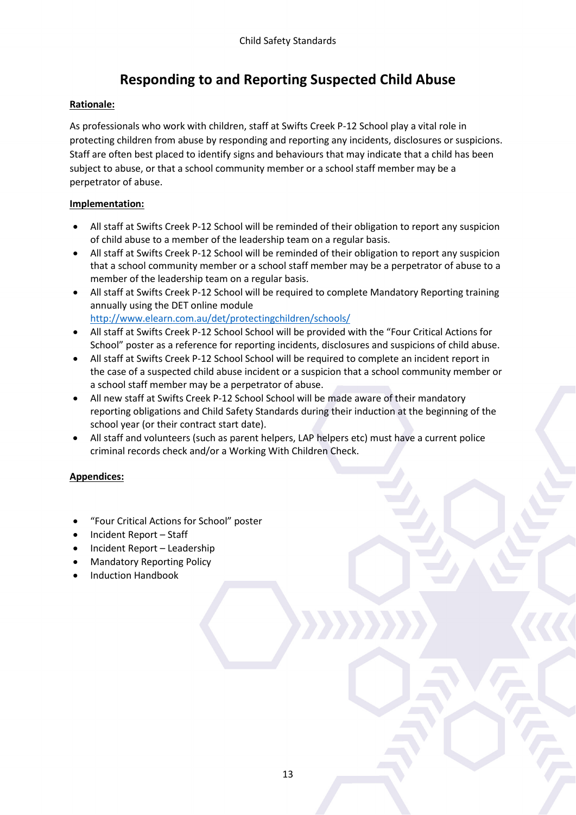# **Responding to and Reporting Suspected Child Abuse**

# **Rationale:**

As professionals who work with children, staff at Swifts Creek P-12 School play a vital role in protecting children from abuse by responding and reporting any incidents, disclosures or suspicions. Staff are often best placed to identify signs and behaviours that may indicate that a child has been subject to abuse, or that a school community member or a school staff member may be a perpetrator of abuse.

# **Implementation:**

- All staff at Swifts Creek P-12 School will be reminded of their obligation to report any suspicion of child abuse to a member of the leadership team on a regular basis.
- All staff at Swifts Creek P-12 School will be reminded of their obligation to report any suspicion that a school community member or a school staff member may be a perpetrator of abuse to a member of the leadership team on a regular basis.
- All staff at Swifts Creek P-12 School will be required to complete Mandatory Reporting training annually using the DET online module <http://www.elearn.com.au/det/protectingchildren/schools/>
- All staff at Swifts Creek P-12 School School will be provided with the "Four Critical Actions for School" poster as a reference for reporting incidents, disclosures and suspicions of child abuse.
- All staff at Swifts Creek P-12 School School will be required to complete an incident report in the case of a suspected child abuse incident or a suspicion that a school community member or a school staff member may be a perpetrator of abuse.
- All new staff at Swifts Creek P-12 School School will be made aware of their mandatory reporting obligations and Child Safety Standards during their induction at the beginning of the school year (or their contract start date).
- All staff and volunteers (such as parent helpers, LAP helpers etc) must have a current police criminal records check and/or a Working With Children Check.

# **Appendices:**

- "Four Critical Actions for School" poster
- Incident Report Staff
- Incident Report Leadership
- Mandatory Reporting Policy
- Induction Handbook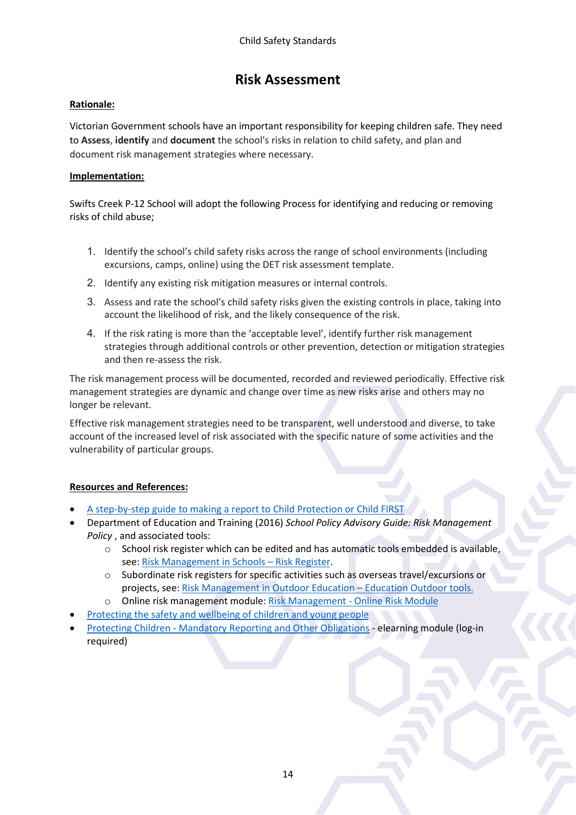# **Risk Assessment**

# **Rationale:**

Victorian Government schools have an important responsibility for keeping children safe. They need to **Assess**, **identify** and **document** the school's risks in relation to child safety, and plan and document risk management strategies where necessary.

# **Implementation:**

Swifts Creek P-12 School will adopt the following Process for identifying and reducing or removing risks of child abuse;

- 1. Identify the school's child safety risks across the range of school environments (including excursions, camps, online) using the DET risk assessment template.
- 2. Identify any existing risk mitigation measures or internal controls.
- 3. Assess and rate the school's child safety risks given the existing controls in place, taking into account the likelihood of risk, and the likely consequence of the risk.
- 4. If the risk rating is more than the 'acceptable level', identify further risk management strategies through additional controls or other prevention, detection or mitigation strategies and then re-assess the risk.

The risk management process will be documented, recorded and reviewed periodically. Effective risk management strategies are dynamic and change over time as new risks arise and others may no longer be relevant.

Effective risk management strategies need to be transparent, well understood and diverse, to take account of the increased level of risk associated with the specific nature of some activities and the vulnerability of particular groups.

# **Resources and References:**

- [A step-by-step guide to making a report to Child Protection or Child FIRST](http://www.education.vic.gov.au/Documents/school/principals/spag/safety/makingareportchild.pdf)
- Department of Education and Training (2016) *School Policy Advisory Guide: Risk Management Policy* , and associated tools:
	- $\circ$  School risk register which can be edited and has automatic tools embedded is available, see[: Risk Management in Schools –](https://edugate.eduweb.vic.gov.au/Services/Policies/RiskManagement/Pages/RiskManagementinSchools.aspx) Risk Register.
	- o Subordinate risk registers for specific activities such as overseas travel/excursions or projects, see: [Risk Management in Outdoor Education –](https://edugate.eduweb.vic.gov.au/Services/Policies/RiskManagement/Pages/Risk-Management-in-Outdoor-Education.aspx) Education Outdoor tools.
	- o Online risk management module[: Risk Management -](https://edugate.eduweb.vic.gov.au/Services/Policies/RiskManagement/Pages/Home.aspx) Online Risk Module
- [Protecting the safety and wellbeing of children and young people](http://www.education.vic.gov.au/school/principals/spag/safety/Documents/protectionofchildren.PDF)
- Protecting Children [Mandatory Reporting and Other Obligations](http://www.elearn.com.au/det/protectingchildren/) elearning module (log-in required)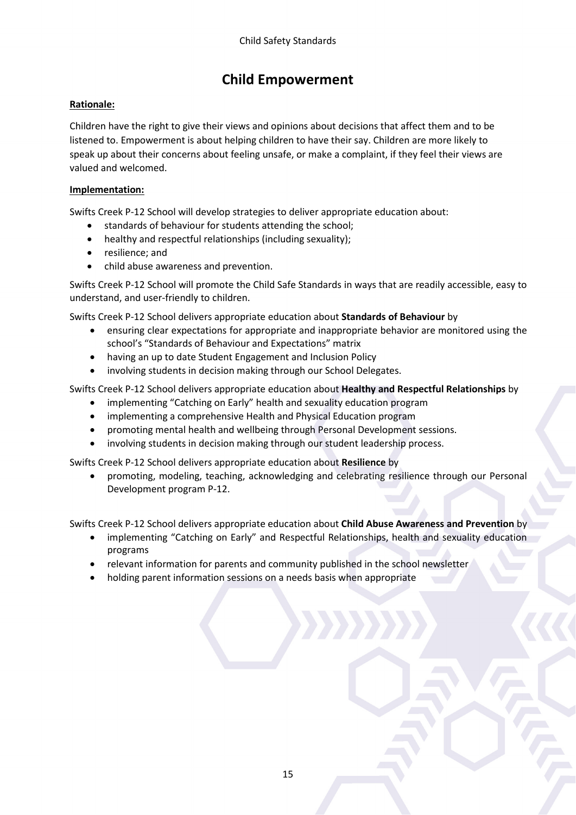# **Child Empowerment**

# **Rationale:**

Children have the right to give their views and opinions about decisions that affect them and to be listened to. Empowerment is about helping children to have their say. Children are more likely to speak up about their concerns about feeling unsafe, or make a complaint, if they feel their views are valued and welcomed.

### **Implementation:**

Swifts Creek P-12 School will develop strategies to deliver appropriate education about:

- standards of behaviour for students attending the school;
- healthy and respectful relationships (including sexuality);
- resilience; and
- child abuse awareness and prevention.

Swifts Creek P-12 School will promote the Child Safe Standards in ways that are readily accessible, easy to understand, and user-friendly to children.

Swifts Creek P-12 School delivers appropriate education about **Standards of Behaviour** by

- ensuring clear expectations for appropriate and inappropriate behavior are monitored using the school's "Standards of Behaviour and Expectations" matrix
- having an up to date Student Engagement and Inclusion Policy
- involving students in decision making through our School Delegates.

Swifts Creek P-12 School delivers appropriate education about **Healthy and Respectful Relationships** by

- implementing "Catching on Early" health and sexuality education program
- implementing a comprehensive Health and Physical Education program
- promoting mental health and wellbeing through Personal Development sessions.
- involving students in decision making through our student leadership process.

Swifts Creek P-12 School delivers appropriate education about **Resilience** by

• promoting, modeling, teaching, acknowledging and celebrating resilience through our Personal Development program P-12.

Swifts Creek P-12 School delivers appropriate education about **Child Abuse Awareness and Prevention** by

- implementing "Catching on Early" and Respectful Relationships, health and sexuality education programs
- relevant information for parents and community published in the school newsletter
- holding parent information sessions on a needs basis when appropriate